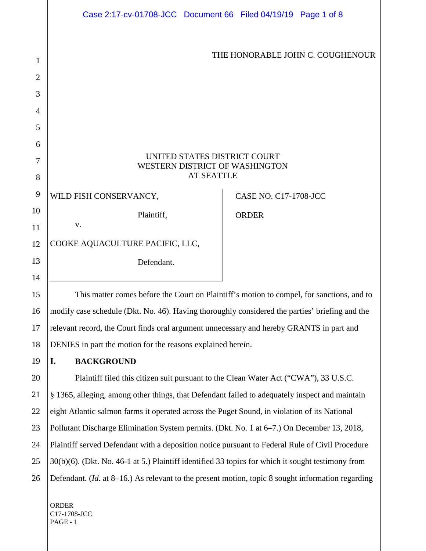|                | Case 2:17-cv-01708-JCC Document 66 Filed 04/19/19 Page 1 of 8                             |  |                              |                                  |  |  |
|----------------|-------------------------------------------------------------------------------------------|--|------------------------------|----------------------------------|--|--|
|                |                                                                                           |  |                              |                                  |  |  |
|                |                                                                                           |  |                              |                                  |  |  |
| 1              |                                                                                           |  |                              | THE HONORABLE JOHN C. COUGHENOUR |  |  |
| $\overline{2}$ |                                                                                           |  |                              |                                  |  |  |
| 3              |                                                                                           |  |                              |                                  |  |  |
| 4              |                                                                                           |  |                              |                                  |  |  |
| 5              |                                                                                           |  |                              |                                  |  |  |
| 6              |                                                                                           |  |                              |                                  |  |  |
| 7              | UNITED STATES DISTRICT COURT                                                              |  |                              |                                  |  |  |
| 8              | WESTERN DISTRICT OF WASHINGTON<br><b>AT SEATTLE</b>                                       |  |                              |                                  |  |  |
| 9              | WILD FISH CONSERVANCY,                                                                    |  | <b>CASE NO. C17-1708-JCC</b> |                                  |  |  |
| 10             | Plaintiff,                                                                                |  |                              |                                  |  |  |
| 11             | V.                                                                                        |  | <b>ORDER</b>                 |                                  |  |  |
| 12             | COOKE AQUACULTURE PACIFIC, LLC,                                                           |  |                              |                                  |  |  |
| 13             | Defendant.                                                                                |  |                              |                                  |  |  |
| 14             |                                                                                           |  |                              |                                  |  |  |
| 15             | This matter comes before the Court on Plaintiff's motion to compel, for sanctions, and to |  |                              |                                  |  |  |
|                |                                                                                           |  |                              |                                  |  |  |

16 17 18 modify case schedule (Dkt. No. 46). Having thoroughly considered the parties' briefing and the relevant record, the Court finds oral argument unnecessary and hereby GRANTS in part and DENIES in part the motion for the reasons explained herein.

**I. BACKGROUND**

19

20

21

22

23

24

25

26

Plaintiff filed this citizen suit pursuant to the Clean Water Act ("CWA"), 33 U.S.C. § 1365, alleging, among other things, that Defendant failed to adequately inspect and maintain eight Atlantic salmon farms it operated across the Puget Sound, in violation of its National Pollutant Discharge Elimination System permits. (Dkt. No. 1 at 6–7.) On December 13, 2018, Plaintiff served Defendant with a deposition notice pursuant to Federal Rule of Civil Procedure 30(b)(6). (Dkt. No. 46-1 at 5.) Plaintiff identified 33 topics for which it sought testimony from Defendant. (*Id*. at 8–16.) As relevant to the present motion, topic 8 sought information regarding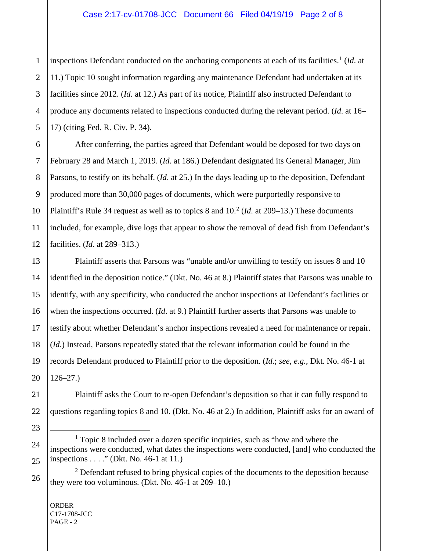inspections Defendant conducted on the anchoring components at each of its facilities.<sup>[1](#page-1-0)</sup> (*Id*. at 11.) Topic 10 sought information regarding any maintenance Defendant had undertaken at its facilities since 2012. (*Id*. at 12.) As part of its notice, Plaintiff also instructed Defendant to produce any documents related to inspections conducted during the relevant period. (*Id*. at 16– 17) (citing Fed. R. Civ. P. 34).

After conferring, the parties agreed that Defendant would be deposed for two days on February 28 and March 1, 2019. (*Id*. at 186.) Defendant designated its General Manager, Jim Parsons, to testify on its behalf. (*Id*. at 25.) In the days leading up to the deposition, Defendant produced more than 30,000 pages of documents, which were purportedly responsive to Plaintiff's Rule 34 request as well as to topics 8 and 10. [2](#page-1-1) (*Id*. at 209–13.) These documents included, for example, dive logs that appear to show the removal of dead fish from Defendant's facilities. (*Id*. at 289–313.)

Plaintiff asserts that Parsons was "unable and/or unwilling to testify on issues 8 and 10 identified in the deposition notice." (Dkt. No. 46 at 8.) Plaintiff states that Parsons was unable to identify, with any specificity, who conducted the anchor inspections at Defendant's facilities or when the inspections occurred. (*Id*. at 9.) Plaintiff further asserts that Parsons was unable to testify about whether Defendant's anchor inspections revealed a need for maintenance or repair. (*Id*.) Instead, Parsons repeatedly stated that the relevant information could be found in the records Defendant produced to Plaintiff prior to the deposition. (*Id*.; *see, e.g.*, Dkt. No. 46-1 at 126–27.)

Plaintiff asks the Court to re-open Defendant's deposition so that it can fully respond to questions regarding topics 8 and 10. (Dkt. No. 46 at 2.) In addition, Plaintiff asks for an award of

<span id="page-1-0"></span><sup>&</sup>lt;sup>1</sup> Topic 8 included over a dozen specific inquiries, such as "how and where the inspections were conducted, what dates the inspections were conducted, [and] who conducted the inspections . . . ." (Dkt. No. 46-1 at 11.)

<span id="page-1-1"></span> $2$  Defendant refused to bring physical copies of the documents to the deposition because they were too voluminous. (Dkt. No. 46-1 at 209–10.)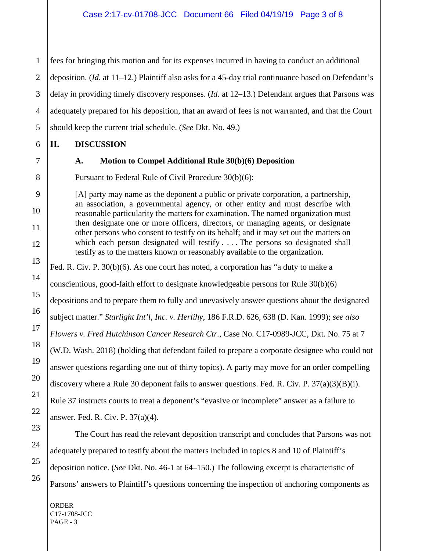fees for bringing this motion and for its expenses incurred in having to conduct an additional deposition. (*Id*. at 11–12.) Plaintiff also asks for a 45-day trial continuance based on Defendant's delay in providing timely discovery responses. (*Id*. at 12–13.) Defendant argues that Parsons was adequately prepared for his deposition, that an award of fees is not warranted, and that the Court should keep the current trial schedule. (*See* Dkt. No. 49.)

### **II. DISCUSSION**

# **A. Motion to Compel Additional Rule 30(b)(6) Deposition**

Pursuant to Federal Rule of Civil Procedure 30(b)(6):

[A] party may name as the deponent a public or private corporation, a partnership, an association, a governmental agency, or other entity and must describe with reasonable particularity the matters for examination. The named organization must then designate one or more officers, directors, or managing agents, or designate other persons who consent to testify on its behalf; and it may set out the matters on which each person designated will testify . . . . The persons so designated shall testify as to the matters known or reasonably available to the organization.

Fed. R. Civ. P. 30(b)(6). As one court has noted, a corporation has "a duty to make a

conscientious, good-faith effort to designate knowledgeable persons for Rule 30(b)(6)

depositions and to prepare them to fully and unevasively answer questions about the designated

subject matter." *Starlight Int'l, Inc. v. Herlihy*, 186 F.R.D. 626, 638 (D. Kan. 1999); *see also*

*Flowers v. Fred Hutchinson Cancer Research Ctr.*, Case No. C17-0989-JCC, Dkt. No. 75 at 7

(W.D. Wash. 2018) (holding that defendant failed to prepare a corporate designee who could not

answer questions regarding one out of thirty topics). A party may move for an order compelling

discovery where a Rule 30 deponent fails to answer questions. Fed. R. Civ. P.  $37(a)(3)(B)(i)$ .

Rule 37 instructs courts to treat a deponent's "evasive or incomplete" answer as a failure to answer. Fed. R. Civ. P. 37(a)(4).

The Court has read the relevant deposition transcript and concludes that Parsons was not adequately prepared to testify about the matters included in topics 8 and 10 of Plaintiff's deposition notice. (*See* Dkt. No. 46-1 at 64–150.) The following excerpt is characteristic of Parsons' answers to Plaintiff's questions concerning the inspection of anchoring components as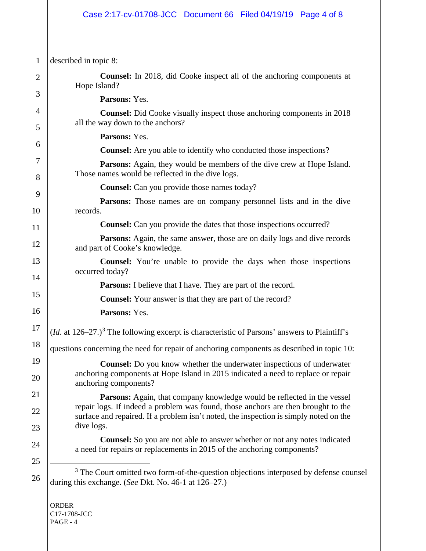# Case 2:17-cv-01708-JCC Document 66 Filed 04/19/19 Page 4 of 8

<span id="page-3-0"></span>

| $\mathbf{1}$ | described in topic 8:                                                                                                                                                                                                                                               |  |  |  |
|--------------|---------------------------------------------------------------------------------------------------------------------------------------------------------------------------------------------------------------------------------------------------------------------|--|--|--|
| 2            | <b>Counsel:</b> In 2018, did Cooke inspect all of the anchoring components at<br>Hope Island?                                                                                                                                                                       |  |  |  |
| 3            | Parsons: Yes.                                                                                                                                                                                                                                                       |  |  |  |
| 4<br>5       | <b>Counsel:</b> Did Cooke visually inspect those anchoring components in 2018<br>all the way down to the anchors?                                                                                                                                                   |  |  |  |
|              | Parsons: Yes.                                                                                                                                                                                                                                                       |  |  |  |
| 6            | <b>Counsel:</b> Are you able to identify who conducted those inspections?                                                                                                                                                                                           |  |  |  |
| 7<br>8       | <b>Parsons:</b> Again, they would be members of the dive crew at Hope Island.<br>Those names would be reflected in the dive logs.                                                                                                                                   |  |  |  |
|              | <b>Counsel:</b> Can you provide those names today?                                                                                                                                                                                                                  |  |  |  |
| 9<br>10      | <b>Parsons:</b> Those names are on company personnel lists and in the dive<br>records.                                                                                                                                                                              |  |  |  |
| 11           | <b>Counsel:</b> Can you provide the dates that those inspections occurred?                                                                                                                                                                                          |  |  |  |
| 12           | <b>Parsons:</b> Again, the same answer, those are on daily logs and dive records<br>and part of Cooke's knowledge.                                                                                                                                                  |  |  |  |
| 13           | <b>Counsel:</b> You're unable to provide the days when those inspections<br>occurred today?                                                                                                                                                                         |  |  |  |
| 14           | <b>Parsons:</b> I believe that I have. They are part of the record.                                                                                                                                                                                                 |  |  |  |
| 15           | <b>Counsel:</b> Your answer is that they are part of the record?                                                                                                                                                                                                    |  |  |  |
| 16           | Parsons: Yes.                                                                                                                                                                                                                                                       |  |  |  |
| 17           | $(Id.$ at $126-27.)3$ The following excerpt is characteristic of Parsons' answers to Plaintiff's                                                                                                                                                                    |  |  |  |
| 18           | questions concerning the need for repair of anchoring components as described in topic 10:                                                                                                                                                                          |  |  |  |
| 19<br>20     | Counsel: Do you know whether the underwater inspections of underwater<br>anchoring components at Hope Island in 2015 indicated a need to replace or repair<br>anchoring components?                                                                                 |  |  |  |
| 21<br>22     | Parsons: Again, that company knowledge would be reflected in the vessel<br>repair logs. If indeed a problem was found, those anchors are then brought to the<br>surface and repaired. If a problem isn't noted, the inspection is simply noted on the<br>dive logs. |  |  |  |
| 23<br>24     | <b>Counsel:</b> So you are not able to answer whether or not any notes indicated<br>a need for repairs or replacements in 2015 of the anchoring components?                                                                                                         |  |  |  |
| 25<br>26     | <sup>3</sup> The Court omitted two form-of-the-question objections interposed by defense counsel<br>during this exchange. (See Dkt. No. 46-1 at 126-27.)                                                                                                            |  |  |  |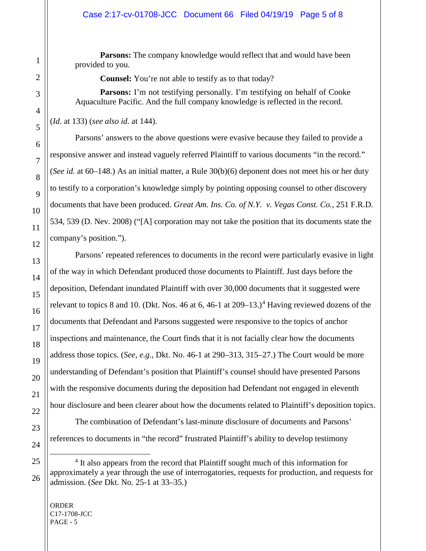**Parsons:** The company knowledge would reflect that and would have been provided to you.

**Counsel:** You're not able to testify as to that today?

**Parsons:** I'm not testifying personally. I'm testifying on behalf of Cooke Aquaculture Pacific. And the full company knowledge is reflected in the record.

(*Id*. at 133) (*see also id.* at 144).

Parsons' answers to the above questions were evasive because they failed to provide a responsive answer and instead vaguely referred Plaintiff to various documents "in the record." (*See id.* at 60–148.) As an initial matter, a Rule 30(b)(6) deponent does not meet his or her duty to testify to a corporation's knowledge simply by pointing opposing counsel to other discovery documents that have been produced. *Great Am. Ins. Co. of N.Y. v. Vegas Const. Co.*, 251 F.R.D. 534, 539 (D. Nev. 2008) ("[A] corporation may not take the position that its documents state the company's position.").

Parsons' repeated references to documents in the record were particularly evasive in light of the way in which Defendant produced those documents to Plaintiff. Just days before the deposition, Defendant inundated Plaintiff with over 30,000 documents that it suggested were relevant to topics 8 and 10. (Dkt. Nos. [4](#page-4-0)6 at 6, 46-1 at  $209-13$ .)<sup>4</sup> Having reviewed dozens of the documents that Defendant and Parsons suggested were responsive to the topics of anchor inspections and maintenance, the Court finds that it is not facially clear how the documents address those topics. (*See, e.g.*, Dkt. No. 46-1 at 290–313, 315–27.) The Court would be more understanding of Defendant's position that Plaintiff's counsel should have presented Parsons with the responsive documents during the deposition had Defendant not engaged in eleventh hour disclosure and been clearer about how the documents related to Plaintiff's deposition topics.

The combination of Defendant's last-minute disclosure of documents and Parsons' references to documents in "the record" frustrated Plaintiff's ability to develop testimony

<span id="page-4-0"></span><sup>&</sup>lt;sup>4</sup> It also appears from the record that Plaintiff sought much of this information for approximately a year through the use of interrogatories, requests for production, and requests for admission. (*See* Dkt. No. 25-1 at 33–35.)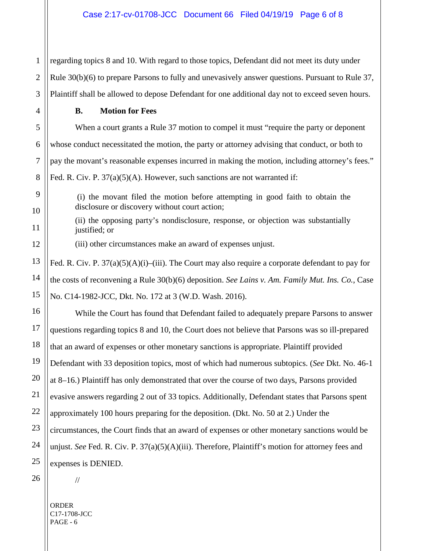1 regarding topics 8 and 10. With regard to those topics, Defendant did not meet its duty under Rule 30(b)(6) to prepare Parsons to fully and unevasively answer questions. Pursuant to Rule 37, Plaintiff shall be allowed to depose Defendant for one additional day not to exceed seven hours.

# **B. Motion for Fees**

When a court grants a Rule 37 motion to compel it must "require the party or deponent" whose conduct necessitated the motion, the party or attorney advising that conduct, or both to pay the movant's reasonable expenses incurred in making the motion, including attorney's fees." Fed. R. Civ. P.  $37(a)(5)(A)$ . However, such sanctions are not warranted if:

(i) the movant filed the motion before attempting in good faith to obtain the disclosure or discovery without court action;

(ii) the opposing party's nondisclosure, response, or objection was substantially justified; or

(iii) other circumstances make an award of expenses unjust.

Fed. R. Civ. P. 37(a)(5)(A)(i)–(iii). The Court may also require a corporate defendant to pay for the costs of reconvening a Rule 30(b)(6) deposition. *See Lains v. Am. Family Mut. Ins. Co.*, Case No. C14-1982-JCC, Dkt. No. 172 at 3 (W.D. Wash. 2016).

While the Court has found that Defendant failed to adequately prepare Parsons to answer questions regarding topics 8 and 10, the Court does not believe that Parsons was so ill-prepared that an award of expenses or other monetary sanctions is appropriate. Plaintiff provided Defendant with 33 deposition topics, most of which had numerous subtopics. (*See* Dkt. No. 46-1 at 8–16.) Plaintiff has only demonstrated that over the course of two days, Parsons provided evasive answers regarding 2 out of 33 topics. Additionally, Defendant states that Parsons spent approximately 100 hours preparing for the deposition. (Dkt. No. 50 at 2.) Under the circumstances, the Court finds that an award of expenses or other monetary sanctions would be unjust. *See* Fed. R. Civ. P. 37(a)(5)(A)(iii). Therefore, Plaintiff's motion for attorney fees and expenses is DENIED.

//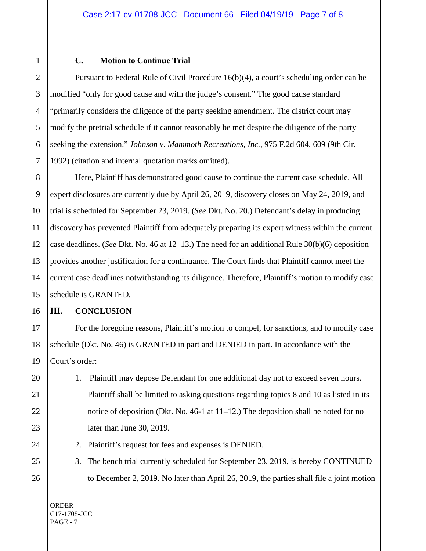#### **C. Motion to Continue Trial**

Pursuant to Federal Rule of Civil Procedure 16(b)(4), a court's scheduling order can be modified "only for good cause and with the judge's consent." The good cause standard "primarily considers the diligence of the party seeking amendment. The district court may modify the pretrial schedule if it cannot reasonably be met despite the diligence of the party seeking the extension." *Johnson v. Mammoth Recreations, Inc.*, 975 F.2d 604, 609 (9th Cir. 1992) (citation and internal quotation marks omitted).

Here, Plaintiff has demonstrated good cause to continue the current case schedule. All expert disclosures are currently due by April 26, 2019, discovery closes on May 24, 2019, and trial is scheduled for September 23, 2019. (*See* Dkt. No. 20.) Defendant's delay in producing discovery has prevented Plaintiff from adequately preparing its expert witness within the current case deadlines. (*See* Dkt. No. 46 at 12–13.) The need for an additional Rule 30(b)(6) deposition provides another justification for a continuance. The Court finds that Plaintiff cannot meet the current case deadlines notwithstanding its diligence. Therefore, Plaintiff's motion to modify case schedule is GRANTED.

#### **III. CONCLUSION**

For the foregoing reasons, Plaintiff's motion to compel, for sanctions, and to modify case schedule (Dkt. No. 46) is GRANTED in part and DENIED in part. In accordance with the Court's order:

1. Plaintiff may depose Defendant for one additional day not to exceed seven hours. Plaintiff shall be limited to asking questions regarding topics 8 and 10 as listed in its notice of deposition (Dkt. No. 46-1 at 11–12.) The deposition shall be noted for no later than June 30, 2019.

2. Plaintiff's request for fees and expenses is DENIED.

3. The bench trial currently scheduled for September 23, 2019, is hereby CONTINUED to December 2, 2019. No later than April 26, 2019, the parties shall file a joint motion

ORDER C17-1708-JCC PAGE - 7

1